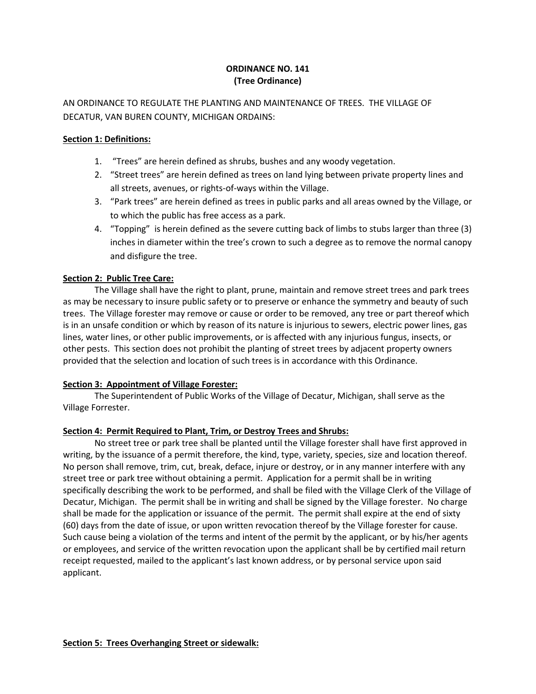# **ORDINANCE NO. 141 (Tree Ordinance)**

AN ORDINANCE TO REGULATE THE PLANTING AND MAINTENANCE OF TREES. THE VILLAGE OF DECATUR, VAN BUREN COUNTY, MICHIGAN ORDAINS:

## **Section 1: Definitions:**

- 1. "Trees" are herein defined as shrubs, bushes and any woody vegetation.
- 2. "Street trees" are herein defined as trees on land lying between private property lines and all streets, avenues, or rights-of-ways within the Village.
- 3. "Park trees" are herein defined as trees in public parks and all areas owned by the Village, or to which the public has free access as a park.
- 4. "Topping" is herein defined as the severe cutting back of limbs to stubs larger than three (3) inches in diameter within the tree's crown to such a degree as to remove the normal canopy and disfigure the tree.

# **Section 2: Public Tree Care:**

 The Village shall have the right to plant, prune, maintain and remove street trees and park trees as may be necessary to insure public safety or to preserve or enhance the symmetry and beauty of such trees. The Village forester may remove or cause or order to be removed, any tree or part thereof which is in an unsafe condition or which by reason of its nature is injurious to sewers, electric power lines, gas lines, water lines, or other public improvements, or is affected with any injurious fungus, insects, or other pests. This section does not prohibit the planting of street trees by adjacent property owners provided that the selection and location of such trees is in accordance with this Ordinance.

# **Section 3: Appointment of Village Forester:**

 The Superintendent of Public Works of the Village of Decatur, Michigan, shall serve as the Village Forrester.

# **Section 4: Permit Required to Plant, Trim, or Destroy Trees and Shrubs:**

 No street tree or park tree shall be planted until the Village forester shall have first approved in writing, by the issuance of a permit therefore, the kind, type, variety, species, size and location thereof. No person shall remove, trim, cut, break, deface, injure or destroy, or in any manner interfere with any street tree or park tree without obtaining a permit. Application for a permit shall be in writing specifically describing the work to be performed, and shall be filed with the Village Clerk of the Village of Decatur, Michigan. The permit shall be in writing and shall be signed by the Village forester. No charge shall be made for the application or issuance of the permit. The permit shall expire at the end of sixty (60) days from the date of issue, or upon written revocation thereof by the Village forester for cause. Such cause being a violation of the terms and intent of the permit by the applicant, or by his/her agents or employees, and service of the written revocation upon the applicant shall be by certified mail return receipt requested, mailed to the applicant's last known address, or by personal service upon said applicant.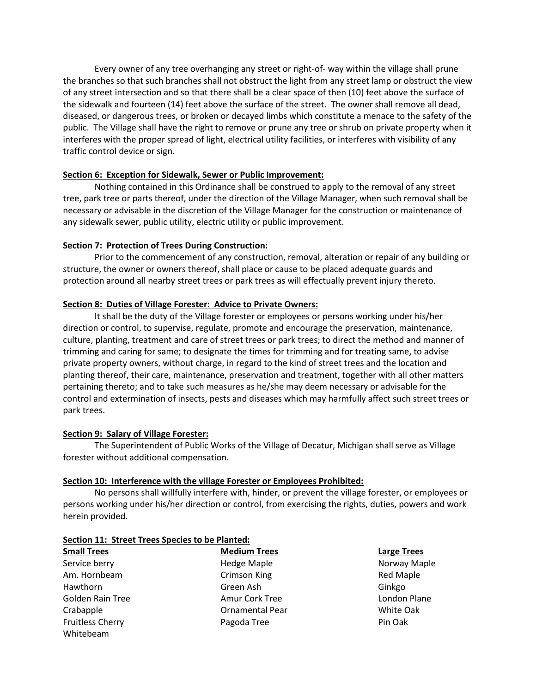Every owner of any tree overhanging any street or right-of- way within the village shall prune the branches so that such branches shall not obstruct the light from any street lamp or obstruct the view of any street intersection and so that there shall be a clear space of then (10) feet above the surface of the sidewalk and fourteen (14) feet above the surface of the street. The owner shall remove all dead, diseased, or dangerous trees, or broken or decayed limbs which constitute a menace to the safety of the public. The Village shall have the right to remove or prune any tree or shrub on private property when it interferes with the proper spread of light, electrical utility facilities, or interferes with visibility of any traffic control device or sign.

# **Section 6: Exception for Sidewalk, Sewer or Public Improvement:**

 Nothing contained in this Ordinance shall be construed to apply to the removal of any street tree, park tree or parts thereof, under the direction of the Village Manager, when such removal shall be necessary or advisable in the discretion of the Village Manager for the construction or maintenance of any sidewalk sewer, public utility, electric utility or public improvement.

# **Section 7: Protection of Trees During Construction:**

 Prior to the commencement of any construction, removal, alteration or repair of any building or structure, the owner or owners thereof, shall place or cause to be placed adequate guards and protection around all nearby street trees or park trees as will effectually prevent injury thereto.

# **Section 8: Duties of Village Forester: Advice to Private Owners:**

 It shall be the duty of the Village forester or employees or persons working under his/her direction or control, to supervise, regulate, promote and encourage the preservation, maintenance, culture, planting, treatment and care of street trees or park trees; to direct the method and manner of trimming and caring for same; to designate the times for trimming and for treating same, to advise private property owners, without charge, in regard to the kind of street trees and the location and planting thereof, their care, maintenance, preservation and treatment, together with all other matters pertaining thereto; and to take such measures as he/she may deem necessary or advisable for the control and extermination of insects, pests and diseases which may harmfully affect such street trees or park trees.

### **Section 9: Salary of Village Forester:**

 The Superintendent of Public Works of the Village of Decatur, Michigan shall serve as Village forester without additional compensation.

### **Section 10: Interference with the village Forester or Employees Prohibited:**

 No persons shall willfully interfere with, hinder, or prevent the village forester, or employees or persons working under his/her direction or control, from exercising the rights, duties, powers and work herein provided.

### **Section 11: Street Trees Species to be Planted:**

| <b>Small Trees</b>      | <b>Medium Trees</b>    | <b>Large Trees</b> |
|-------------------------|------------------------|--------------------|
| Service berry           | <b>Hedge Maple</b>     | Norway Ma          |
| Am. Hornbeam            | <b>Crimson King</b>    | <b>Red Maple</b>   |
| Hawthorn                | Green Ash              | Ginkgo             |
| Golden Rain Tree        | Amur Cork Tree         | London Pla         |
| Crabapple               | <b>Ornamental Pear</b> | White Oak          |
| <b>Fruitless Cherry</b> | Pagoda Tree            | Pin Oak            |
| Whiteheam               |                        |                    |

**Small Trees Medium Trees Large Trees**  ple **Service Berry Hedge Maple** Norway Maple ng amazon Crimson Red Maple Tree **Amur Core Core Core Tree** London Plane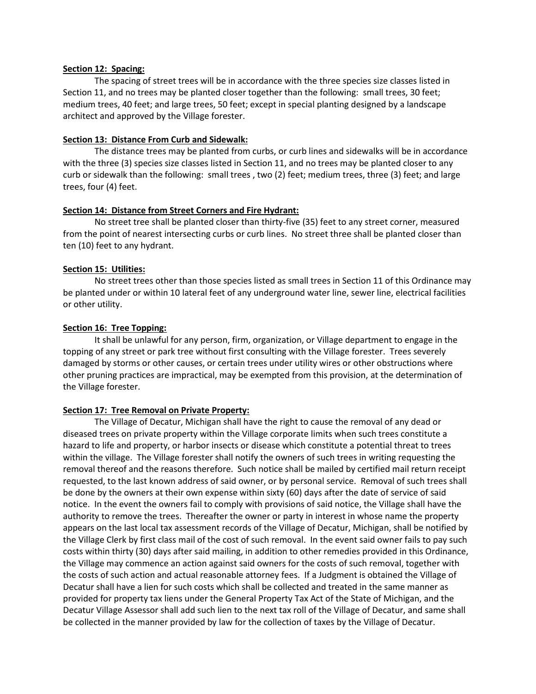### **Section 12: Spacing:**

 The spacing of street trees will be in accordance with the three species size classes listed in Section 11, and no trees may be planted closer together than the following: small trees, 30 feet; medium trees, 40 feet; and large trees, 50 feet; except in special planting designed by a landscape architect and approved by the Village forester.

#### **Section 13: Distance From Curb and Sidewalk:**

 The distance trees may be planted from curbs, or curb lines and sidewalks will be in accordance with the three (3) species size classes listed in Section 11, and no trees may be planted closer to any curb or sidewalk than the following: small trees , two (2) feet; medium trees, three (3) feet; and large trees, four (4) feet.

#### **Section 14: Distance from Street Corners and Fire Hydrant:**

 No street tree shall be planted closer than thirty-five (35) feet to any street corner, measured from the point of nearest intersecting curbs or curb lines. No street three shall be planted closer than ten (10) feet to any hydrant.

#### **Section 15: Utilities:**

 No street trees other than those species listed as small trees in Section 11 of this Ordinance may be planted under or within 10 lateral feet of any underground water line, sewer line, electrical facilities or other utility.

#### **Section 16: Tree Topping:**

 It shall be unlawful for any person, firm, organization, or Village department to engage in the topping of any street or park tree without first consulting with the Village forester. Trees severely damaged by storms or other causes, or certain trees under utility wires or other obstructions where other pruning practices are impractical, may be exempted from this provision, at the determination of the Village forester.

### **Section 17: Tree Removal on Private Property:**

 The Village of Decatur, Michigan shall have the right to cause the removal of any dead or diseased trees on private property within the Village corporate limits when such trees constitute a hazard to life and property, or harbor insects or disease which constitute a potential threat to trees within the village. The Village forester shall notify the owners of such trees in writing requesting the removal thereof and the reasons therefore. Such notice shall be mailed by certified mail return receipt requested, to the last known address of said owner, or by personal service. Removal of such trees shall be done by the owners at their own expense within sixty (60) days after the date of service of said notice. In the event the owners fail to comply with provisions of said notice, the Village shall have the authority to remove the trees. Thereafter the owner or party in interest in whose name the property appears on the last local tax assessment records of the Village of Decatur, Michigan, shall be notified by the Village Clerk by first class mail of the cost of such removal. In the event said owner fails to pay such costs within thirty (30) days after said mailing, in addition to other remedies provided in this Ordinance, the Village may commence an action against said owners for the costs of such removal, together with the costs of such action and actual reasonable attorney fees. If a Judgment is obtained the Village of Decatur shall have a lien for such costs which shall be collected and treated in the same manner as provided for property tax liens under the General Property Tax Act of the State of Michigan, and the Decatur Village Assessor shall add such lien to the next tax roll of the Village of Decatur, and same shall be collected in the manner provided by law for the collection of taxes by the Village of Decatur.